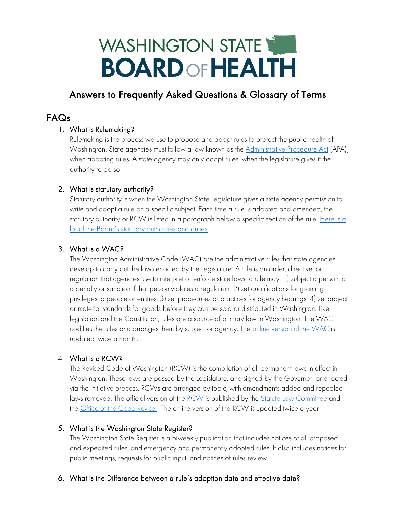# WASHINGTON STATE **BOARD OF HEALTH**

## Answers to Frequently Asked Questions & Glossary of Terms

### FAQs

#### 1. What is Rulemaking?

Rulemaking is the process we use to propose and adopt rules to protect the public health of Washington. State agencies must follow a law known as the [Administrative Procedure Act](https://apps.leg.wa.gov/RCW/default.aspx?cite=34.05) (APA), when adopting rules. A state agency may only adopt rules, when the legislature gives it the authority to do so.

#### 2. What is statutory authority?

Statutory authority is when the Washington State Legislature gives a state agency permission to write and adopt a rule on a specific subject. Each time a rule is adopted and amended, the statutory authority or RCW is listed in a paragraph below a specific section of the rule. [Here is a](https://sboh.wa.gov/Portals/7/Doc/Operations/Tab07b-PowersAndDuties_Table.pdf?ver=2013-07-08-100601-893) [list of the Board's statutory authorities and duties.](https://sboh.wa.gov/Portals/7/Doc/Operations/Tab07b-PowersAndDuties_Table.pdf?ver=2013-07-08-100601-893)

#### 3. What is a WAC?

The Washington Administrative Code (WAC) are the administrative rules that state agencies develop to carry out the laws enacted by the Legislature. A rule is an order, directive, or regulation that agencies use to interpret or enforce state laws, a rule may: 1) subject a person to a penalty or sanction if that person violates a regulation, 2) set qualifications for granting privileges to people or entities, 3) set procedures or practices for agency hearings, 4) set project or material standards for goods before they can be sold or distributed in Washington. Like legislation and the Constitution, rules are a source of primary law in Washington. The WAC codifies the rules and arranges them by subject or agency. The [online version of the WAC](https://app.leg.wa.gov/wac/) is updated twice a month.

#### 4. What is a RCW?

The Revised Code of Washington (RCW) is the compilation of all permanent laws in effect in Washington. These laws are passed by the Legislature, and signed by the Governor, or enacted via the initiative process. RCWs are arranged by topic, with amendments added and repealed laws removed. The official version of the <u>RCW</u> is published by the <u>Statute Law Committee</u> and the *Office of the Code Reviser*. The online version of the RCW is updated twice a year.

#### 5. What is the Washington State Register?

The Washington State Register is a biweekly publication that includes notices of all proposed and expedited rules, and emergency and permanently adopted rules. It also includes notices for public meetings, requests for public input, and notices of rules review.

#### 6. What is the Difference between a rule's adoption date and effective date?